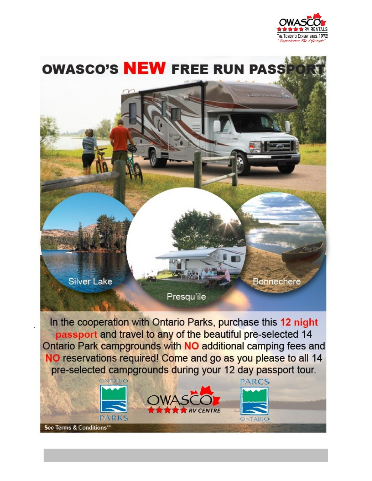

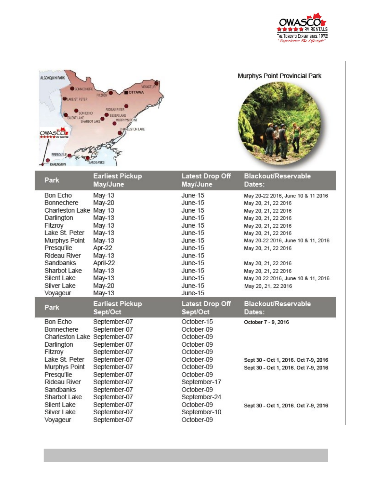



## Murphys Point Provincial Park



| Park                                                                                                                                                                                                                                                 | <b>Earliest Pickup</b><br>May/June                                                                                                                                           | <b>Latest Drop Off</b><br>May/June                                                                                                                                       | <b>Blackout/Reservable</b><br>Dates:                                                                                                                                                                                                                                                                                         |
|------------------------------------------------------------------------------------------------------------------------------------------------------------------------------------------------------------------------------------------------------|------------------------------------------------------------------------------------------------------------------------------------------------------------------------------|--------------------------------------------------------------------------------------------------------------------------------------------------------------------------|------------------------------------------------------------------------------------------------------------------------------------------------------------------------------------------------------------------------------------------------------------------------------------------------------------------------------|
| <b>Bon Echo</b><br><b>Bonnechere</b><br>Charleston Lake May-13<br>Darlington<br>Fitzroy<br>Lake St. Peter<br>Murphys Point<br>Presqu'ile<br><b>Rideau River</b><br>Sandbanks<br>Sharbot Lake<br><b>Silent Lake</b><br><b>Silver Lake</b><br>Voyageur | May-13<br>May-20<br>May-13<br>May-13<br>May-13<br>May-13<br>Apr-22<br>May-13<br>April-22<br>$May-13$<br>May-13<br>May-20<br>May-13                                           | $June-15$<br>June-15<br>$June-15$<br>$June-15$<br>$June-15$<br>$June-15$<br>$June-15$<br>$June-15$<br>June-15<br>June-15<br>June-15<br>$June-15$<br>June-15<br>June-15   | May 20-22 2016, June 10 & 11 2016<br>May 20, 21, 22 2016<br>May 20, 21, 22 2016<br>May 20, 21, 22 2016<br>May 20, 21, 22 2016<br>May 20, 21, 22 2016<br>May 20-22 2016, June 10 & 11, 2016<br>May 20, 21, 22 2016<br>May 20, 21, 22 2016<br>May 20, 21, 22 2016<br>May 20-22 2016, June 10 & 11, 2016<br>May 20, 21, 22 2016 |
|                                                                                                                                                                                                                                                      |                                                                                                                                                                              |                                                                                                                                                                          |                                                                                                                                                                                                                                                                                                                              |
| Park                                                                                                                                                                                                                                                 | <b>Earliest Pickup</b><br>Sept/Oct                                                                                                                                           | <b>Latest Drop Off</b><br>Sept/Oct                                                                                                                                       | Blackout/Reservable<br>Dates:                                                                                                                                                                                                                                                                                                |
| <b>Bon Echo</b><br><b>Bonnechere</b><br>Charleston Lake September-07<br>Darlington<br>Fitzroy<br>Lake St. Peter<br>Murphys Point<br>Presqu'ile<br><b>Rideau River</b><br>Sandbanks<br>Sharbot Lake<br><b>Silent Lake</b>                             | September-07<br>September-07<br>September-07<br>September-07<br>September-07<br>September-07<br>September-07<br>September-07<br>September-07<br>September-07<br>September-07 | October-15<br>October-09<br>October-09<br>October-09<br>October-09<br>October-09<br>October-09<br>October-09<br>September-17<br>October-09<br>September-24<br>October-09 | October 7 - 9, 2016<br>Sept 30 - Oct 1, 2016. Oct 7-9, 2016<br>Sept 30 - Oct 1, 2016. Oct 7-9, 2016<br>Sept 30 - Oct 1, 2016. Oct 7-9, 2016                                                                                                                                                                                  |